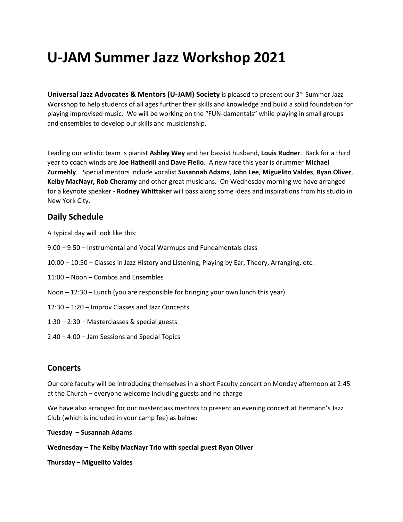## **U-JAM Summer Jazz Workshop 2021**

**Universal Jazz Advocates & Mentors (U-JAM) Society** is pleased to present our 3<sup>rd</sup> Summer Jazz Workshop to help students of all ages further their skills and knowledge and build a solid foundation for playing improvised music. We will be working on the "FUN-damentals" while playing in small groups and ensembles to develop our skills and musicianship.

Leading our artistic team is pianist **Ashley Wey** and her bassist husband, **Louis Rudner**. Back for a third year to coach winds are **Joe Hatherill** and **Dave Flello**. A new face this year is drummer **Michael Zurmehly**. Special mentors include vocalist **Susannah Adams**, **John Lee**, **Miguelito Valdes**, **Ryan Oliver**, **Kelby MacNayr, Rob Cheramy** and other great musicians. On Wednesday morning we have arranged for a keynote speaker - **Rodney Whittaker** will pass along some ideas and inspirations from his studio in New York City.

## **Daily Schedule**

A typical day will look like this:

- 9:00 9:50 Instrumental and Vocal Warmups and Fundamentals class
- 10:00 10:50 Classes in Jazz History and Listening, Playing by Ear, Theory, Arranging, etc.
- 11:00 Noon Combos and Ensembles
- Noon 12:30 Lunch (you are responsible for bringing your own lunch this year)
- 12:30 1:20 Improv Classes and Jazz Concepts
- 1:30 2:30 Masterclasses & special guests
- 2:40 4:00 Jam Sessions and Special Topics

## **Concerts**

Our core faculty will be introducing themselves in a short Faculty concert on Monday afternoon at 2:45 at the Church – everyone welcome including guests and no charge

We have also arranged for our masterclass mentors to present an evening concert at Hermann's Jazz Club (which is included in your camp fee) as below:

**Tuesday – Susannah Adams**

**Wednesday – The Kelby MacNayr Trio with special guest Ryan Oliver**

**Thursday – Miguelito Valdes**